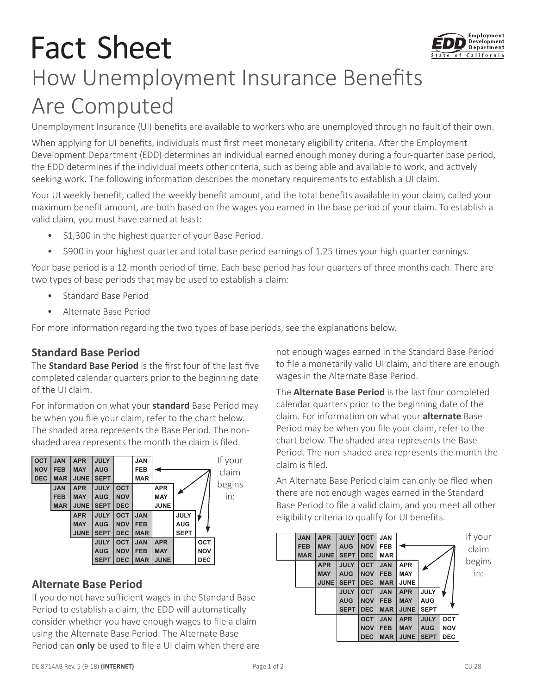# Fact Sheet How Unemployment Insurance Benefits Are Computed

Unemployment Insurance (UI) benefits are available to workers who are unemployed through no fault of their own.

When applying for UI benefits, individuals must first meet monetary eligibility criteria. After the Employment Development Department (EDD) determines an individual earned enough money during a four-quarter base period, the EDD determines if the individual meets other criteria, such as being able and available to work, and actively seeking work. The following information describes the monetary requirements to establish a UI claim.

Your UI weekly benefit, called the weekly benefit amount, and the total benefits available in your claim, called your maximum benefit amount, are both based on the wages you earned in the base period of your claim. To establish a valid claim, you must have earned at least:

- \$1,300 in the highest quarter of your Base Period.
- \$900 in your highest quarter and total base period earnings of 1.25 times your high quarter earnings.

Your base period is a 12-month period of time. Each base period has four quarters of three months each. There are two types of base periods that may be used to establish a claim:

- Standard Base Period
- Alternate Base Period

For more information regarding the two types of base periods, see the explanations below.

#### **Standard Base Period**

The **Standard Base Period** is the first four of the last five completed calendar quarters prior to the beginning date of the UI claim.

For information on what your **standard** Base Period may be when you file your claim, refer to the chart below. The shaded area represents the Base Period. The nonshaded area represents the month the claim is filed.



## **Alternate Base Period**

If you do not have sufficient wages in the Standard Base Period to establish a claim, the EDD will automatically consider whether you have enough wages to file a claim using the Alternate Base Period. The Alternate Base Period can **only** be used to file a UI claim when there are not enough wages earned in the Standard Base Period to file a monetarily valid UI claim, and there are enough wages in the Alternate Base Period.

The **Alternate Base Period** is the last four completed calendar quarters prior to the beginning date of the claim. For information on what your **alternate** Base Period may be when you file your claim, refer to the chart below. The shaded area represents the Base Period. The non-shaded area represents the month the claim is filed.

An Alternate Base Period claim can only be filed when there are not enough wages earned in the Standard Base Period to file a valid claim, and you meet all other eligibility criteria to qualify for UI benefits.

| <b>JAN</b> | <b>APR</b>  | <b>JULY</b> | <b>OCT</b> | <b>JAN</b> |             |             |            | If your |
|------------|-------------|-------------|------------|------------|-------------|-------------|------------|---------|
| <b>FEB</b> | <b>MAY</b>  | <b>AUG</b>  | <b>NOV</b> | <b>FEB</b> |             |             |            | claim   |
| <b>MAR</b> | <b>JUNE</b> | <b>SEPT</b> | <b>DEC</b> | <b>MAR</b> |             |             |            |         |
|            | <b>APR</b>  | <b>JULY</b> | <b>OCT</b> | <b>JAN</b> | <b>APR</b>  |             |            | begins  |
|            | <b>MAY</b>  | <b>AUG</b>  | <b>NOV</b> | <b>FEB</b> | <b>MAY</b>  |             |            | in:     |
|            | <b>JUNE</b> | <b>SEPT</b> | <b>DEC</b> | <b>MAR</b> | <b>JUNE</b> |             |            |         |
|            |             | <b>JULY</b> | <b>OCT</b> | <b>JAN</b> | <b>APR</b>  | <b>JULY</b> |            |         |
|            |             | <b>AUG</b>  | <b>NOV</b> | <b>FEB</b> | <b>MAY</b>  | <b>AUG</b>  |            |         |
|            |             | <b>SEPT</b> | <b>DEC</b> | <b>MAR</b> | <b>JUNE</b> | <b>SEPT</b> |            |         |
|            |             |             | <b>OCT</b> | <b>JAN</b> | <b>APR</b>  | <b>JULY</b> | OCT        |         |
|            |             |             | <b>NOV</b> | <b>FEB</b> | <b>MAY</b>  | <b>AUG</b>  | <b>NOV</b> |         |
|            |             |             | <b>DEC</b> | <b>MAR</b> | <b>JUNE</b> | <b>SEPT</b> | <b>DEC</b> |         |
|            |             |             |            |            |             |             |            |         |

Employment Development Department of California